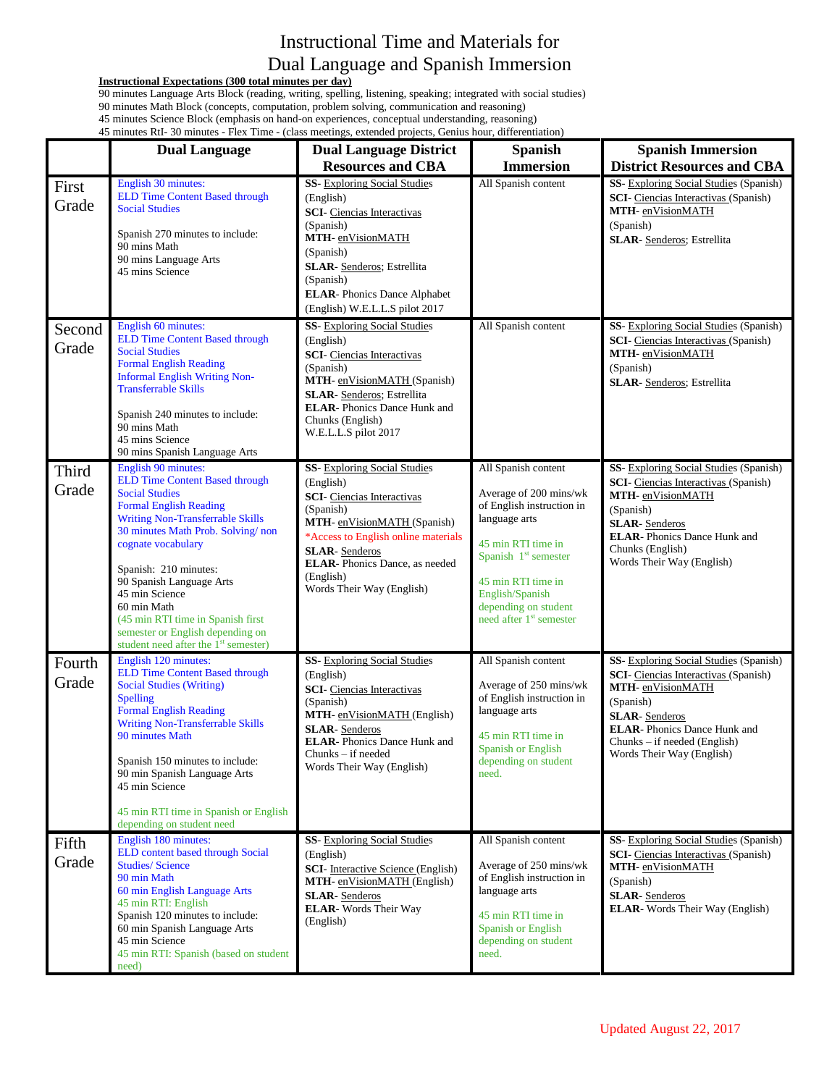## Instructional Time and Materials for Dual Language and Spanish Immersion

## **Instructional Expectations (300 total minutes per day)**

90 minutes Language Arts Block (reading, writing, spelling, listening, speaking; integrated with social studies)

90 minutes Math Block (concepts, computation, problem solving, communication and reasoning)

45 minutes Science Block (emphasis on hand-on experiences, conceptual understanding, reasoning)

|                 | 45 minutes RtI-30 minutes - Flex Time - (class meetings, extended projects, Genius hour, differentiation)                                                                                                                                                                                                                                                                                                                                       |                                                                                                                                                                                                                                                                                    |                                                                                                                                                                                                                                                     |                                                                                                                                                                                                                                                     |  |  |  |
|-----------------|-------------------------------------------------------------------------------------------------------------------------------------------------------------------------------------------------------------------------------------------------------------------------------------------------------------------------------------------------------------------------------------------------------------------------------------------------|------------------------------------------------------------------------------------------------------------------------------------------------------------------------------------------------------------------------------------------------------------------------------------|-----------------------------------------------------------------------------------------------------------------------------------------------------------------------------------------------------------------------------------------------------|-----------------------------------------------------------------------------------------------------------------------------------------------------------------------------------------------------------------------------------------------------|--|--|--|
|                 | <b>Dual Language</b>                                                                                                                                                                                                                                                                                                                                                                                                                            | <b>Dual Language District</b>                                                                                                                                                                                                                                                      | <b>Spanish</b>                                                                                                                                                                                                                                      | <b>Spanish Immersion</b>                                                                                                                                                                                                                            |  |  |  |
|                 |                                                                                                                                                                                                                                                                                                                                                                                                                                                 | <b>Resources and CBA</b>                                                                                                                                                                                                                                                           | <b>Immersion</b>                                                                                                                                                                                                                                    | <b>District Resources and CBA</b>                                                                                                                                                                                                                   |  |  |  |
| First<br>Grade  | English 30 minutes:<br><b>ELD Time Content Based through</b><br><b>Social Studies</b><br>Spanish 270 minutes to include:<br>90 mins Math<br>90 mins Language Arts<br>45 mins Science                                                                                                                                                                                                                                                            | <b>SS-</b> Exploring Social Studies<br>(English)<br><b>SCI-</b> Ciencias Interactivas<br>(Spanish)<br>MTH- enVisionMATH<br>(Spanish)<br>SLAR- Senderos; Estrellita<br>(Spanish)<br><b>ELAR-Phonics Dance Alphabet</b><br>(English) W.E.L.L.S pilot 2017                            | All Spanish content                                                                                                                                                                                                                                 | SS- Exploring Social Studies (Spanish)<br><b>SCI-</b> Ciencias Interactivas (Spanish)<br>MTH- enVisionMATH<br>(Spanish)<br><b>SLAR-</b> Senderos; Estrellita                                                                                        |  |  |  |
| Second<br>Grade | English 60 minutes:<br><b>ELD Time Content Based through</b><br><b>Social Studies</b><br><b>Formal English Reading</b><br><b>Informal English Writing Non-</b><br><b>Transferrable Skills</b><br>Spanish 240 minutes to include:<br>90 mins Math<br>45 mins Science<br>90 mins Spanish Language Arts                                                                                                                                            | <b>SS-</b> Exploring Social Studies<br>(English)<br><b>SCI-</b> Ciencias Interactivas<br>(Spanish)<br>MTH- enVisionMATH (Spanish)<br><b>SLAR-</b> Senderos; Estrellita<br><b>ELAR-Phonics Dance Hunk and</b><br>Chunks (English)<br>W.E.L.L.S pilot 2017                           | All Spanish content                                                                                                                                                                                                                                 | <b>SS</b> - Exploring Social Studies (Spanish)<br><b>SCI</b> - Ciencias Interactivas (Spanish)<br>MTH- enVisionMATH<br>(Spanish)<br>SLAR- Senderos; Estrellita                                                                                      |  |  |  |
| Third<br>Grade  | English 90 minutes:<br><b>ELD Time Content Based through</b><br><b>Social Studies</b><br><b>Formal English Reading</b><br><b>Writing Non-Transferrable Skills</b><br>30 minutes Math Prob. Solving/non<br>cognate vocabulary<br>Spanish: 210 minutes:<br>90 Spanish Language Arts<br>45 min Science<br>60 min Math<br>(45 min RTI time in Spanish first<br>semester or English depending on<br>student need after the 1 <sup>st</sup> semester) | <b>SS-</b> Exploring Social Studies<br>(English)<br><b>SCI-</b> Ciencias Interactivas<br>(Spanish)<br>MTH- enVisionMATH (Spanish)<br>*Access to English online materials<br><b>SLAR-Senderos</b><br><b>ELAR-Phonics Dance, as needed</b><br>(English)<br>Words Their Way (English) | All Spanish content<br>Average of 200 mins/wk<br>of English instruction in<br>language arts<br>45 min RTI time in<br>Spanish $1st$ semester<br>45 min RTI time in<br>English/Spanish<br>depending on student<br>need after 1 <sup>st</sup> semester | SS- Exploring Social Studies (Spanish)<br><b>SCI-</b> Ciencias Interactivas (Spanish)<br>MTH- enVisionMATH<br>(Spanish)<br><b>SLAR-Senderos</b><br><b>ELAR-Phonics Dance Hunk and</b><br>Chunks (English)<br>Words Their Way (English)              |  |  |  |
| Fourth<br>Grade | English 120 minutes:<br><b>ELD Time Content Based through</b><br><b>Social Studies (Writing)</b><br><b>Spelling</b><br><b>Formal English Reading</b><br><b>Writing Non-Transferrable Skills</b><br>90 minutes Math<br>Spanish 150 minutes to include:<br>90 min Spanish Language Arts<br>45 min Science<br>45 min RTI time in Spanish or English<br>depending on student need                                                                   | SS- Exploring Social Studies<br>(English)<br><b>SCI-</b> Ciencias Interactivas<br>(Spanish)<br>MTH- enVisionMATH (English)<br><b>SLAR-Senderos</b><br><b>ELAR-Phonics Dance Hunk and</b><br>Chunks – if needed<br>Words Their Way (English)                                        | All Spanish content<br>Average of 250 mins/wk<br>of English instruction in<br>language arts<br>45 min RTI time in<br>Spanish or English<br>depending on student<br>need.                                                                            | SS- Exploring Social Studies (Spanish)<br><b>SCI</b> - Ciencias Interactivas (Spanish)<br>MTH- enVisionMATH<br>(Spanish)<br><b>SLAR-Senderos</b><br><b>ELAR-Phonics Dance Hunk and</b><br>Chunks - if needed (English)<br>Words Their Way (English) |  |  |  |
| Fifth<br>Grade  | English 180 minutes:<br>ELD content based through Social<br><b>Studies/Science</b><br>90 min Math<br>60 min English Language Arts<br>45 min RTI: English<br>Spanish 120 minutes to include:<br>60 min Spanish Language Arts<br>45 min Science<br>45 min RTI: Spanish (based on student<br>need)                                                                                                                                                 | SS- Exploring Social Studies<br>(English)<br><b>SCI-</b> Interactive Science (English)<br>MTH- enVisionMATH (English)<br><b>SLAR-Senderos</b><br><b>ELAR-</b> Words Their Way<br>(English)                                                                                         | All Spanish content<br>Average of 250 mins/wk<br>of English instruction in<br>language arts<br>45 min RTI time in<br>Spanish or English<br>depending on student<br>need.                                                                            | SS- Exploring Social Studies (Spanish)<br><b>SCI</b> - Ciencias Interactivas (Spanish)<br>MTH- enVisionMATH<br>(Spanish)<br><b>SLAR-Senderos</b><br><b>ELAR-</b> Words Their Way (English)                                                          |  |  |  |